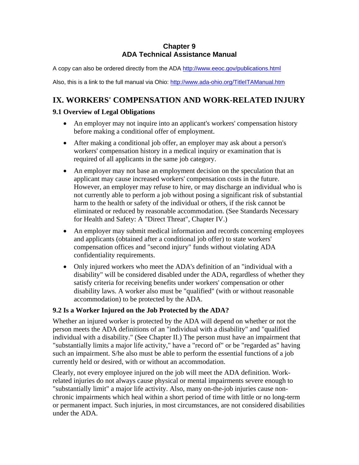### **Chapter 9 ADA Technical Assistance Manual**

A copy can also be ordered directly from the ADA http://www.eeoc.gov/publications.html

Also, this is a link to the full manual via Ohio: http://www.ada-ohio.org/TitleITAManual.htm

# **IX. WORKERS' COMPENSATION AND WORK-RELATED INJURY**

## **9.1 Overview of Legal Obligations**

- An employer may not inquire into an applicant's workers' compensation history before making a conditional offer of employment.
- After making a conditional job offer, an employer may ask about a person's workers' compensation history in a medical inquiry or examination that is required of all applicants in the same job category.
- An employer may not base an employment decision on the speculation that an applicant may cause increased workers' compensation costs in the future. However, an employer may refuse to hire, or may discharge an individual who is not currently able to perform a job without posing a significant risk of substantial harm to the health or safety of the individual or others, if the risk cannot be eliminated or reduced by reasonable accommodation. (See Standards Necessary for Health and Safety: A "Direct Threat", Chapter IV.)
- An employer may submit medical information and records concerning employees and applicants (obtained after a conditional job offer) to state workers' compensation offices and "second injury" funds without violating ADA confidentiality requirements.
- Only injured workers who meet the ADA's definition of an "individual with a disability" will be considered disabled under the ADA, regardless of whether they satisfy criteria for receiving benefits under workers' compensation or other disability laws. A worker also must be "qualified" (with or without reasonable accommodation) to be protected by the ADA.

# **9.2 Is a Worker Injured on the Job Protected by the ADA?**

Whether an injured worker is protected by the ADA will depend on whether or not the person meets the ADA definitions of an "individual with a disability" and "qualified individual with a disability." (See Chapter II.) The person must have an impairment that "substantially limits a major life activity," have a "record of" or be "regarded as" having such an impairment. S/he also must be able to perform the essential functions of a job currently held or desired, with or without an accommodation.

Clearly, not every employee injured on the job will meet the ADA definition. Workrelated injuries do not always cause physical or mental impairments severe enough to "substantially limit" a major life activity. Also, many on-the-job injuries cause nonchronic impairments which heal within a short period of time with little or no long-term or permanent impact. Such injuries, in most circumstances, are not considered disabilities under the ADA.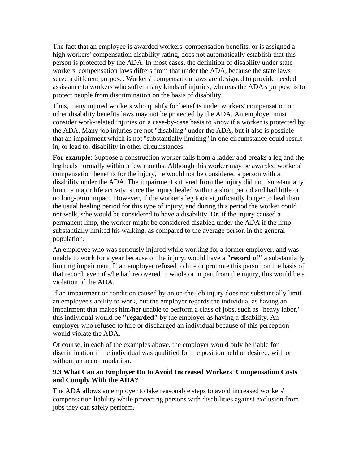The fact that an employee is awarded workers' compensation benefits, or is assigned a high workers' compensation disability rating, does not automatically establish that this person is protected by the ADA. In most cases, the definition of disability under state workers' compensation laws differs from that under the ADA, because the state laws serve a different purpose. Workers' compensation laws are designed to provide needed assistance to workers who suffer many kinds of injuries, whereas the ADA's purpose is to protect people from discrimination on the basis of disability.

Thus, many injured workers who qualify for benefits under workers' compensation or other disability benefits laws may not be protected by the ADA. An employer must consider work-related injuries on a case-by-case basis to know if a worker is protected by the ADA. Many job injuries are not "disabling" under the ADA, but it also is possible that an impairment which is not "substantially limiting" in one circumstance could result in, or lead to, disability in other circumstances.

**For example**: Suppose a construction worker falls from a ladder and breaks a leg and the leg heals normally within a few months. Although this worker may be awarded workers' compensation benefits for the injury, he would not be considered a person with a disability under the ADA. The impairment suffered from the injury did not "substantially limit" a major life activity, since the injury healed within a short period and had little or no long-term impact. However, if the worker's leg took significantly longer to heal than the usual healing period for this type of injury, and during this period the worker could not walk, s/he would be considered to have a disability. Or, if the injury caused a permanent limp, the worker might be considered disabled under the ADA if the limp substantially limited his walking, as compared to the average person in the general population.

An employee who was seriously injured while working for a former employer, and was unable to work for a year because of the injury, would have a **"record of"** a substantially limiting impairment. If an employer refused to hire or promote this person on the basis of that record, even if s/he had recovered in whole or in part from the injury, this would be a violation of the ADA.

If an impairment or condition caused by an on-the-job injury does not substantially limit an employee's ability to work, but the employer regards the individual as having an impairment that makes him/her unable to perform a class of jobs, such as "heavy labor," this individual would be **"regarded"** by the employer as having a disability. An employer who refused to hire or discharged an individual because of this perception would violate the ADA.

Of course, in each of the examples above, the employer would only be liable for discrimination if the individual was qualified for the position held or desired, with or without an accommodation.

#### **9.3 What Can an Employer Do to Avoid Increased Workers' Compensation Costs and Comply With the ADA?**

The ADA allows an employer to take reasonable steps to avoid increased workers' compensation liability while protecting persons with disabilities against exclusion from jobs they can safely perform.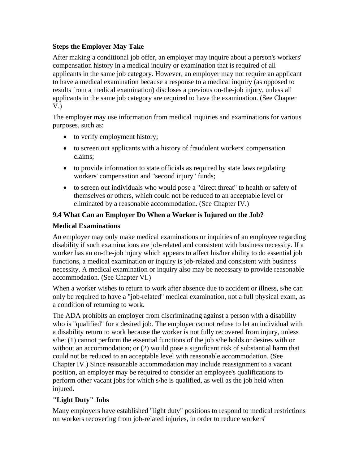## **Steps the Employer May Take**

After making a conditional job offer, an employer may inquire about a person's workers' compensation history in a medical inquiry or examination that is required of all applicants in the same job category. However, an employer may not require an applicant to have a medical examination because a response to a medical inquiry (as opposed to results from a medical examination) discloses a previous on-the-job injury, unless all applicants in the same job category are required to have the examination. (See Chapter V.)

The employer may use information from medical inquiries and examinations for various purposes, such as:

- to verify employment history;
- to screen out applicants with a history of fraudulent workers' compensation claims;
- to provide information to state officials as required by state laws regulating workers' compensation and "second injury" funds;
- to screen out individuals who would pose a "direct threat" to health or safety of themselves or others, which could not be reduced to an acceptable level or eliminated by a reasonable accommodation. (See Chapter IV.)

# **9.4 What Can an Employer Do When a Worker is Injured on the Job?**

## **Medical Examinations**

An employer may only make medical examinations or inquiries of an employee regarding disability if such examinations are job-related and consistent with business necessity. If a worker has an on-the-job injury which appears to affect his/her ability to do essential job functions, a medical examination or inquiry is job-related and consistent with business necessity. A medical examination or inquiry also may be necessary to provide reasonable accommodation. (See Chapter VI.)

When a worker wishes to return to work after absence due to accident or illness, s/he can only be required to have a "job-related" medical examination, not a full physical exam, as a condition of returning to work.

The ADA prohibits an employer from discriminating against a person with a disability who is "qualified" for a desired job. The employer cannot refuse to let an individual with a disability return to work because the worker is not fully recovered from injury, unless s/he: (1) cannot perform the essential functions of the job s/he holds or desires with or without an accommodation; or (2) would pose a significant risk of substantial harm that could not be reduced to an acceptable level with reasonable accommodation. (See Chapter IV.) Since reasonable accommodation may include reassignment to a vacant position, an employer may be required to consider an employee's qualifications to perform other vacant jobs for which s/he is qualified, as well as the job held when injured.

#### **"Light Duty" Jobs**

Many employers have established "light duty" positions to respond to medical restrictions on workers recovering from job-related injuries, in order to reduce workers'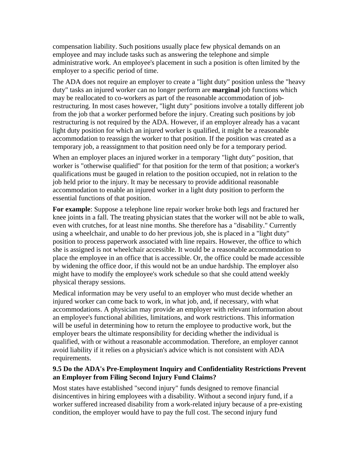compensation liability. Such positions usually place few physical demands on an employee and may include tasks such as answering the telephone and simple administrative work. An employee's placement in such a position is often limited by the employer to a specific period of time.

The ADA does not require an employer to create a "light duty" position unless the "heavy duty" tasks an injured worker can no longer perform are **marginal** job functions which may be reallocated to co-workers as part of the reasonable accommodation of jobrestructuring. In most cases however, "light duty" positions involve a totally different job from the job that a worker performed before the injury. Creating such positions by job restructuring is not required by the ADA. However, if an employer already has a vacant light duty position for which an injured worker is qualified, it might be a reasonable accommodation to reassign the worker to that position. If the position was created as a temporary job, a reassignment to that position need only be for a temporary period.

When an employer places an injured worker in a temporary "light duty" position, that worker is "otherwise qualified" for that position for the term of that position; a worker's qualifications must be gauged in relation to the position occupied, not in relation to the job held prior to the injury. It may be necessary to provide additional reasonable accommodation to enable an injured worker in a light duty position to perform the essential functions of that position.

**For example**: Suppose a telephone line repair worker broke both legs and fractured her knee joints in a fall. The treating physician states that the worker will not be able to walk, even with crutches, for at least nine months. She therefore has a "disability." Currently using a wheelchair, and unable to do her previous job, she is placed in a "light duty" position to process paperwork associated with line repairs. However, the office to which she is assigned is not wheelchair accessible. It would be a reasonable accommodation to place the employee in an office that is accessible. Or, the office could be made accessible by widening the office door, if this would not be an undue hardship. The employer also might have to modify the employee's work schedule so that she could attend weekly physical therapy sessions.

Medical information may be very useful to an employer who must decide whether an injured worker can come back to work, in what job, and, if necessary, with what accommodations. A physician may provide an employer with relevant information about an employee's functional abilities, limitations, and work restrictions. This information will be useful in determining how to return the employee to productive work, but the employer bears the ultimate responsibility for deciding whether the individual is qualified, with or without a reasonable accommodation. Therefore, an employer cannot avoid liability if it relies on a physician's advice which is not consistent with ADA requirements.

#### **9.5 Do the ADA's Pre-Employment Inquiry and Confidentiality Restrictions Prevent an Employer from Filing Second Injury Fund Claims?**

Most states have established "second injury" funds designed to remove financial disincentives in hiring employees with a disability. Without a second injury fund, if a worker suffered increased disability from a work-related injury because of a pre-existing condition, the employer would have to pay the full cost. The second injury fund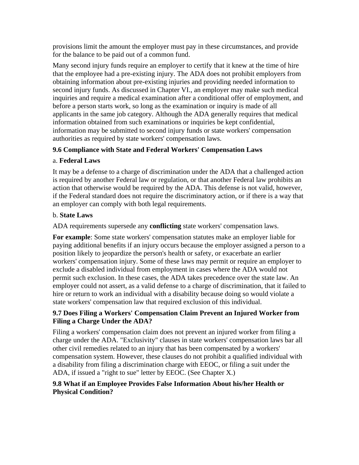provisions limit the amount the employer must pay in these circumstances, and provide for the balance to be paid out of a common fund.

Many second injury funds require an employer to certify that it knew at the time of hire that the employee had a pre-existing injury. The ADA does not prohibit employers from obtaining information about pre-existing injuries and providing needed information to second injury funds. As discussed in Chapter VI., an employer may make such medical inquiries and require a medical examination after a conditional offer of employment, and before a person starts work, so long as the examination or inquiry is made of all applicants in the same job category. Although the ADA generally requires that medical information obtained from such examinations or inquiries be kept confidential, information may be submitted to second injury funds or state workers' compensation authorities as required by state workers' compensation laws.

## **9.6 Compliance with State and Federal Workers' Compensation Laws**

## a. **Federal Laws**

It may be a defense to a charge of discrimination under the ADA that a challenged action is required by another Federal law or regulation, or that another Federal law prohibits an action that otherwise would be required by the ADA. This defense is not valid, however, if the Federal standard does not require the discriminatory action, or if there is a way that an employer can comply with both legal requirements.

## b. **State Laws**

ADA requirements supersede any **conflicting** state workers' compensation laws.

**For example**: Some state workers' compensation statutes make an employer liable for paying additional benefits if an injury occurs because the employer assigned a person to a position likely to jeopardize the person's health or safety, or exacerbate an earlier workers' compensation injury. Some of these laws may permit or require an employer to exclude a disabled individual from employment in cases where the ADA would not permit such exclusion. In these cases, the ADA takes precedence over the state law. An employer could not assert, as a valid defense to a charge of discrimination, that it failed to hire or return to work an individual with a disability because doing so would violate a state workers' compensation law that required exclusion of this individual.

## **9.7 Does Filing a Workers' Compensation Claim Prevent an Injured Worker from Filing a Charge Under the ADA?**

Filing a workers' compensation claim does not prevent an injured worker from filing a charge under the ADA. "Exclusivity" clauses in state workers' compensation laws bar all other civil remedies related to an injury that has been compensated by a workers' compensation system. However, these clauses do not prohibit a qualified individual with a disability from filing a discrimination charge with EEOC, or filing a suit under the ADA, if issued a "right to sue" letter by EEOC. (See Chapter X.)

## **9.8 What if an Employee Provides False Information About his/her Health or Physical Condition?**